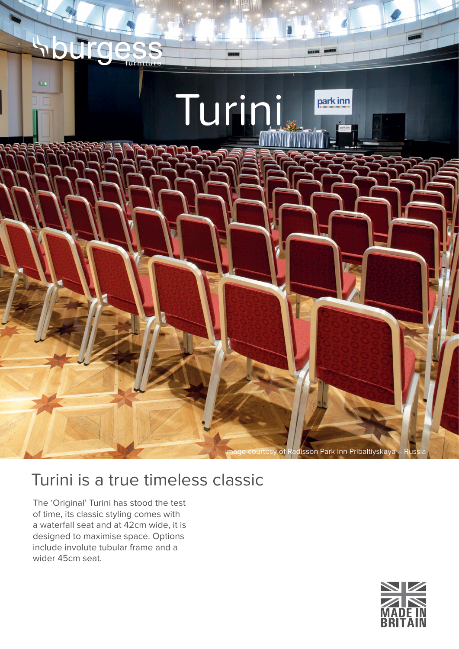

## Turini is a true timeless classic

The 'Original' Turini has stood the test of time, its classic styling comes with a waterfall seat and at 42cm wide, it is designed to maximise space. Options include involute tubular frame and a wider 45cm seat.